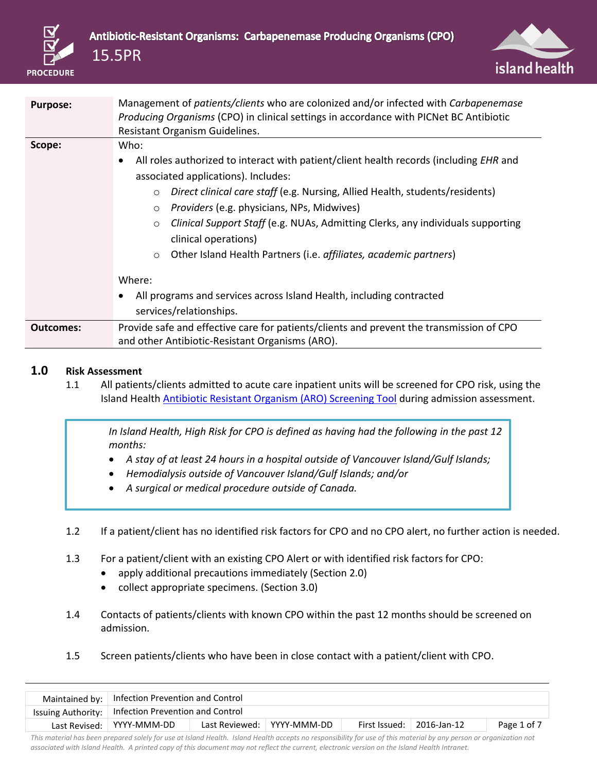



| <b>Purpose:</b>  | Management of patients/clients who are colonized and/or infected with Carbapenemase                 |
|------------------|-----------------------------------------------------------------------------------------------------|
|                  | Producing Organisms (CPO) in clinical settings in accordance with PICNet BC Antibiotic              |
|                  | Resistant Organism Guidelines.                                                                      |
| Scope:           | Who:                                                                                                |
|                  | All roles authorized to interact with patient/client health records (including EHR and<br>$\bullet$ |
|                  | associated applications). Includes:                                                                 |
|                  | Direct clinical care staff (e.g. Nursing, Allied Health, students/residents)<br>$\circ$             |
|                  | Providers (e.g. physicians, NPs, Midwives)<br>$\circ$                                               |
|                  | Clinical Support Staff (e.g. NUAs, Admitting Clerks, any individuals supporting<br>$\circ$          |
|                  | clinical operations)                                                                                |
|                  | Other Island Health Partners (i.e. affiliates, academic partners)<br>$\circ$                        |
|                  |                                                                                                     |
|                  | Where:                                                                                              |
|                  | All programs and services across Island Health, including contracted                                |
|                  | services/relationships.                                                                             |
| <b>Outcomes:</b> | Provide safe and effective care for patients/clients and prevent the transmission of CPO            |
|                  | and other Antibiotic-Resistant Organisms (ARO).                                                     |

## **1.0 Risk Assessment**

1.1 All patients/clients admitted to acute care inpatient units will be screened for CPO risk, using the Island Health [Antibiotic Resistant Organism \(ARO\) Screening Tool](https://intranet.viha.ca/departments/infection_prevention/Documents/ARO%20Admission/Existing_ARO_Alerts_and_Screening_Questions_form.pdf) during admission assessment.

*In Island Health, High Risk for CPO is defined as having had the following in the past 12 months:*

- *A stay of at least 24 hours in a hospital outside of Vancouver Island/Gulf Islands;*
- *Hemodialysis outside of Vancouver Island/Gulf Islands; and/or*
- *A surgical or medical procedure outside of Canada.*
- 1.2 If a patient/client has no identified risk factors for CPO and no CPO alert, no further action is needed.
- 1.3 For a patient/client with an existing CPO Alert or with identified risk factors for CPO:
	- apply additional precautions immediately (Section 2.0)
	- collect appropriate specimens. (Section 3.0)
- 1.4 Contacts of patients/clients with known CPO within the past 12 months should be screened on admission.
- 1.5 Screen patients/clients who have been in close contact with a patient/client with CPO.

| Maintained by:   Infection Prevention and Control     |  |                            |  |                                   |             |  |
|-------------------------------------------------------|--|----------------------------|--|-----------------------------------|-------------|--|
| Issuing Authority:   Infection Prevention and Control |  |                            |  |                                   |             |  |
| Last Revised:   YYYY-MMM-DD                           |  | Last Reviewed: YYYY-MMM-DD |  | First Issued: $\vert$ 2016-Jan-12 | Page 1 of 7 |  |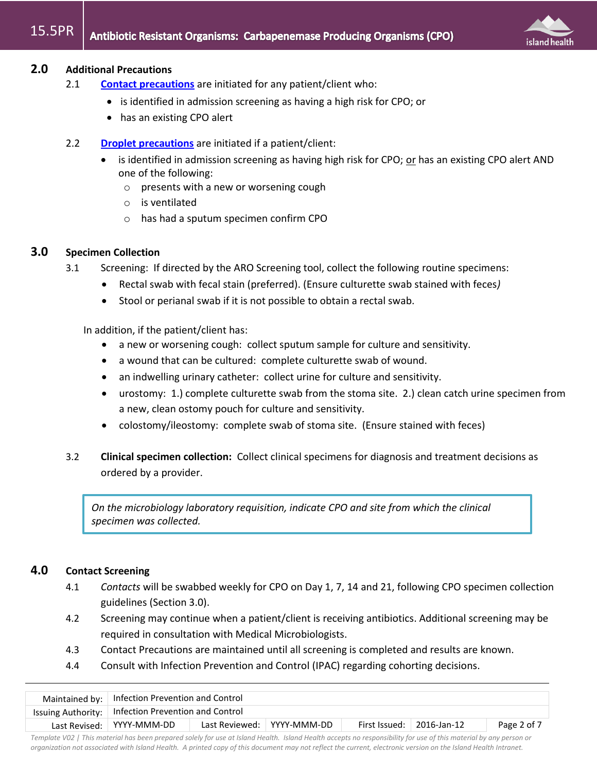

# **2.0 Additional Precautions**

- 2.1 **[Contact precautions](http://www.viha.ca/NR/rdonlyres/A4D7070B-8BA4-4CD3-9C7E-14E0BFB380BE/0/ContactPrecautions.pdf)** are initiated for any patient/client who:
	- is identified in admission screening as having a high risk for CPO; or
	- has an existing CPO alert
- 2.2 **[Droplet precautions](http://www.viha.ca/NR/rdonlyres/60D500A1-51ED-4B39-BC8B-0DF546A347CA/0/DropletPrecautions.pdf)** are initiated if a patient/client:
	- is identified in admission screening as having high risk for CPO; or has an existing CPO alert AND one of the following:
		- o presents with a new or worsening cough
		- o is ventilated
		- o has had a sputum specimen confirm CPO

# **3.0 Specimen Collection**

- 3.1 Screening: If directed by the ARO Screening tool, collect the following routine specimens:
	- Rectal swab with fecal stain (preferred). (Ensure culturette swab stained with feces*)*
	- Stool or perianal swab if it is not possible to obtain a rectal swab.

In addition, if the patient/client has:

- a new or worsening cough: collect sputum sample for culture and sensitivity.
- a wound that can be cultured: complete culturette swab of wound.
- an indwelling urinary catheter: collect urine for culture and sensitivity.
- urostomy: 1.) complete culturette swab from the stoma site. 2.) clean catch urine specimen from a new, clean ostomy pouch for culture and sensitivity.
- colostomy/ileostomy: complete swab of stoma site. (Ensure stained with feces)
- 3.2 **Clinical specimen collection:** Collect clinical specimens for diagnosis and treatment decisions as ordered by a provider.

*On the microbiology laboratory requisition, indicate CPO and site from which the clinical specimen was collected.*

# **4.0 Contact Screening**

- 4.1 *Contacts* will be swabbed weekly for CPO on Day 1, 7, 14 and 21, following CPO specimen collection guidelines (Section 3.0).
- 4.2 Screening may continue when a patient/client is receiving antibiotics. Additional screening may be required in consultation with Medical Microbiologists.
- 4.3 Contact Precautions are maintained until all screening is completed and results are known.
- 4.4 Consult with Infection Prevention and Control (IPAC) regarding cohorting decisions.

| Maintained by:   Infection Prevention and Control                                                               |                                                       |  |  |  |  |  |  |
|-----------------------------------------------------------------------------------------------------------------|-------------------------------------------------------|--|--|--|--|--|--|
|                                                                                                                 | Issuing Authority:   Infection Prevention and Control |  |  |  |  |  |  |
| Last Reviewed:   YYYY-MMM-DD<br>Last Revised:   YYYY-MMM-DD<br>First Issued: $\vert$ 2016-Jan-12<br>Page 2 of 7 |                                                       |  |  |  |  |  |  |
|                                                                                                                 |                                                       |  |  |  |  |  |  |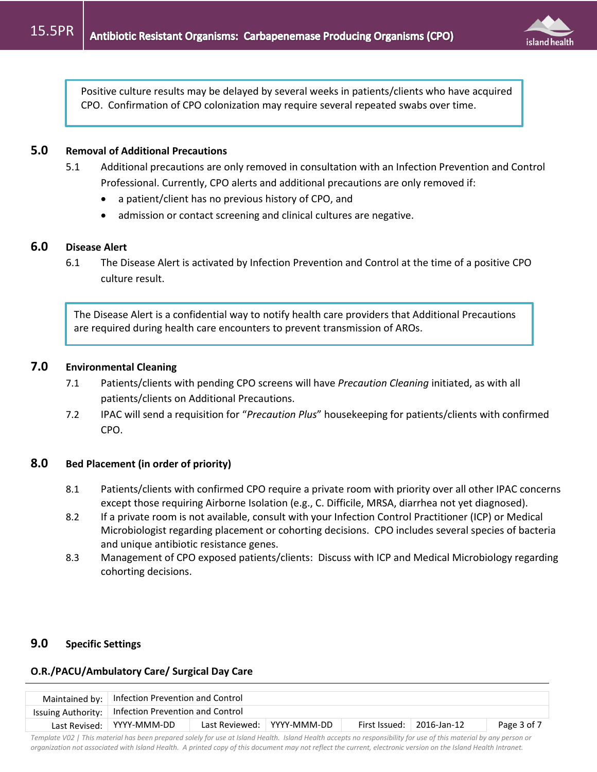

Positive culture results may be delayed by several weeks in patients/clients who have acquired CPO. Confirmation of CPO colonization may require several repeated swabs over time.

## **5.0 Removal of Additional Precautions**

- 5.1 Additional precautions are only removed in consultation with an Infection Prevention and Control Professional. Currently, CPO alerts and additional precautions are only removed if:
	- a patient/client has no previous history of CPO, and
	- admission or contact screening and clinical cultures are negative.

#### **6.0 Disease Alert**

6.1 The Disease Alert is activated by Infection Prevention and Control at the time of a positive CPO culture result.

The Disease Alert is a confidential way to notify health care providers that Additional Precautions are required during health care encounters to prevent transmission of AROs.

## **7.0 Environmental Cleaning**

- 7.1 Patients/clients with pending CPO screens will have *Precaution Cleaning* initiated, as with all patients/clients on Additional Precautions.
- 7.2 IPAC will send a requisition for "*Precaution Plus*" housekeeping for patients/clients with confirmed CPO.

## **8.0 Bed Placement (in order of priority)**

- 8.1 Patients/clients with confirmed CPO require a private room with priority over all other IPAC concerns except those requiring Airborne Isolation (e.g., C. Difficile, MRSA, diarrhea not yet diagnosed).
- 8.2 If a private room is not available, consult with your Infection Control Practitioner (ICP) or Medical Microbiologist regarding placement or cohorting decisions. CPO includes several species of bacteria and unique antibiotic resistance genes.
- 8.3 Management of CPO exposed patients/clients: Discuss with ICP and Medical Microbiology regarding cohorting decisions.

## **9.0 Specific Settings**

#### **O.R./PACU/Ambulatory Care/ Surgical Day Care**

| Maintained by:   Infection Prevention and Control                                                                 |  |  |  |  |  |  |
|-------------------------------------------------------------------------------------------------------------------|--|--|--|--|--|--|
| Issuing Authority:   Infection Prevention and Control                                                             |  |  |  |  |  |  |
| Last Reviewed:   YYYY-MMM-DD<br>First Issued:<br>Last Revised:   YYYY-MMM-DD<br>$\mid$ 2016-Jan-12<br>Page 3 of 7 |  |  |  |  |  |  |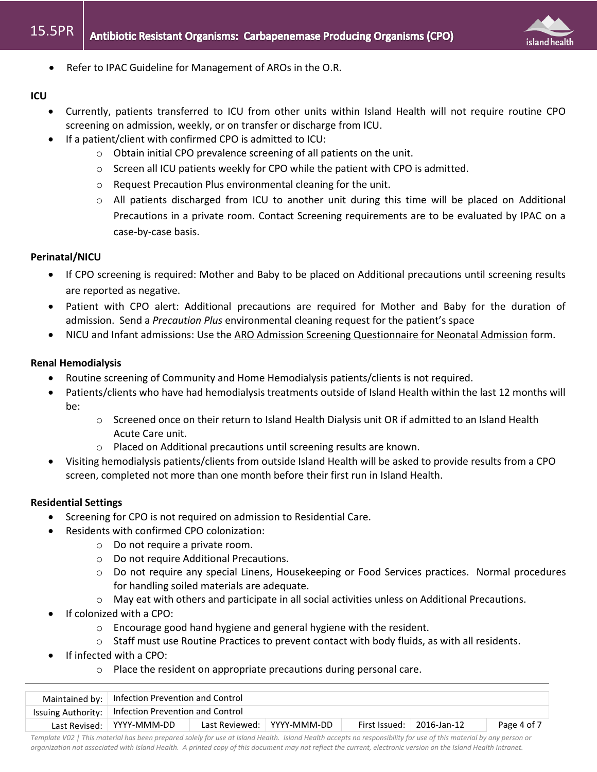

• Refer to IPAC Guideline for Management of AROs in the O.R.

#### **ICU**

- Currently, patients transferred to ICU from other units within Island Health will not require routine CPO screening on admission, weekly, or on transfer or discharge from ICU.
- If a patient/client with confirmed CPO is admitted to ICU:
	- o Obtain initial CPO prevalence screening of all patients on the unit.
	- o Screen all ICU patients weekly for CPO while the patient with CPO is admitted.
	- o Request Precaution Plus environmental cleaning for the unit.
	- o All patients discharged from ICU to another unit during this time will be placed on Additional Precautions in a private room. Contact Screening requirements are to be evaluated by IPAC on a case-by-case basis.

## **Perinatal/NICU**

- If CPO screening is required: Mother and Baby to be placed on Additional precautions until screening results are reported as negative.
- Patient with CPO alert: Additional precautions are required for Mother and Baby for the duration of admission. Send a *Precaution Plus* environmental cleaning request for the patient's space
- NICU and Infant admissions: Use the ARO Admission Screening Questionnaire for Neonatal Admission form.

## **Renal Hemodialysis**

- Routine screening of Community and Home Hemodialysis patients/clients is not required.
- Patients/clients who have had hemodialysis treatments outside of Island Health within the last 12 months will be:
	- o Screened once on their return to Island Health Dialysis unit OR if admitted to an Island Health Acute Care unit.
	- o Placed on Additional precautions until screening results are known.
- Visiting hemodialysis patients/clients from outside Island Health will be asked to provide results from a CPO screen, completed not more than one month before their first run in Island Health.

## **Residential Settings**

- Screening for CPO is not required on admission to Residential Care.
- Residents with confirmed CPO colonization:
	- o Do not require a private room.
	- o Do not require Additional Precautions.
	- o Do not require any special Linens, Housekeeping or Food Services practices. Normal procedures for handling soiled materials are adequate.
	- o May eat with others and participate in all social activities unless on Additional Precautions.
- If colonized with a CPO:
	- o Encourage good hand hygiene and general hygiene with the resident.
	- o Staff must use Routine Practices to prevent contact with body fluids, as with all residents.
- If infected with a CPO:
	- o Place the resident on appropriate precautions during personal care.

| Maintained by:   Infection Prevention and Control                                                                         |  |  |  |  |  |  |  |
|---------------------------------------------------------------------------------------------------------------------------|--|--|--|--|--|--|--|
| Issuing Authority:   Infection Prevention and Control                                                                     |  |  |  |  |  |  |  |
| Last Reviewed:   YYYY-MMM-DD<br><b>First Issued:</b><br>$\perp$ 2016-Jan-12<br>Last Revised:   YYYY-MMM-DD<br>Page 4 of 7 |  |  |  |  |  |  |  |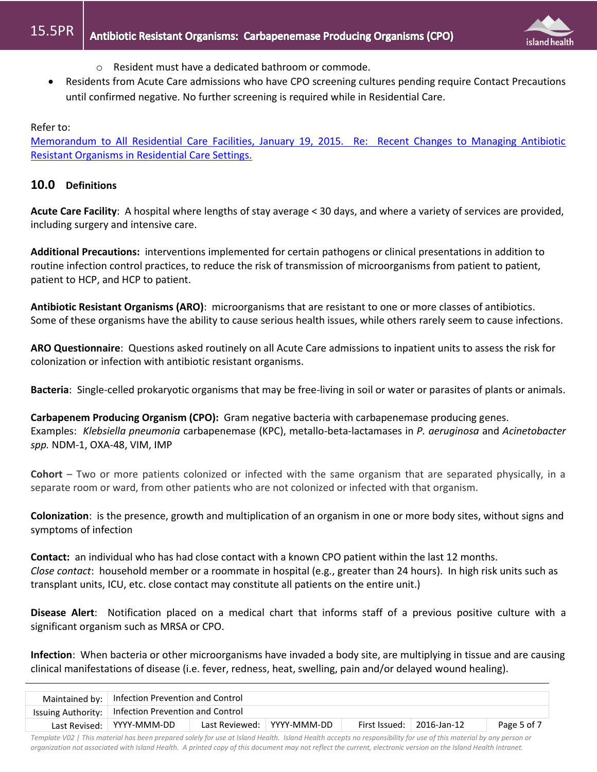

- o Resident must have a dedicated bathroom or commode.
- Residents from Acute Care admissions who have CPO screening cultures pending require Contact Precautions until confirmed negative. No further screening is required while in Residential Care.

#### Refer to:

[Memorandum to All Residential Care Facilities, January 19, 2015. Re: Recent Changes to Managing Antibiotic](https://intranet.viha.ca/departments/infection_prevention/Documents/ARO%20Admission/Jan192015RecentChangesToManagingARO.pdf)  [Resistant Organisms in Residential Care Settings.](https://intranet.viha.ca/departments/infection_prevention/Documents/ARO%20Admission/Jan192015RecentChangesToManagingARO.pdf)

## **10.0 Definitions**

**Acute Care Facility**: A hospital where lengths of stay average < 30 days, and where a variety of services are provided, including surgery and intensive care.

**Additional Precautions:** interventions implemented for certain pathogens or clinical presentations in addition to routine infection control practices, to reduce the risk of transmission of microorganisms from patient to patient, patient to HCP, and HCP to patient.

**Antibiotic Resistant Organisms (ARO)**: microorganisms that are resistant to one or more classes of antibiotics. Some of these organisms have the ability to cause serious health issues, while others rarely seem to cause infections.

**ARO Questionnaire**: Questions asked routinely on all Acute Care admissions to inpatient units to assess the risk for colonization or infection with antibiotic resistant organisms.

**Bacteria**: Single-celled prokaryotic organisms that may be free-living in soil or water or parasites of plants or animals.

**Carbapenem Producing Organism (CPO):** Gram negative bacteria with carbapenemase producing genes. Examples: *Klebsiella pneumonia* carbapenemase (KPC), metallo-beta-lactamases in *P. aeruginosa* and *Acinetobacter spp.* NDM-1, OXA-48, VIM, IMP

**Cohort** – Two or more patients colonized or infected with the same organism that are separated physically, in a separate room or ward, from other patients who are not colonized or infected with that organism.

**Colonization**: is the presence, growth and multiplication of an organism in one or more body sites, without signs and symptoms of infection

**Contact:** an individual who has had close contact with a known CPO patient within the last 12 months. *Close contact*: household member or a roommate in hospital (e.g., greater than 24 hours). In high risk units such as transplant units, ICU, etc. close contact may constitute all patients on the entire unit.)

**Disease Alert**: Notification placed on a medical chart that informs staff of a previous positive culture with a significant organism such as MRSA or CPO.

**Infection**: When bacteria or other microorganisms have invaded a body site, are multiplying in tissue and are causing clinical manifestations of disease (i.e. fever, redness, heat, swelling, pain and/or delayed wound healing).

| Maintained by:   Infection Prevention and Control                                                               |  |  |  |  |  |  |  |
|-----------------------------------------------------------------------------------------------------------------|--|--|--|--|--|--|--|
| Issuing Authority:   Infection Prevention and Control                                                           |  |  |  |  |  |  |  |
| Last Reviewed:   YYYY-MMM-DD<br>First Issued: $\vert$ 2016-Jan-12<br>Last Revised:   YYYY-MMM-DD<br>Page 5 of 7 |  |  |  |  |  |  |  |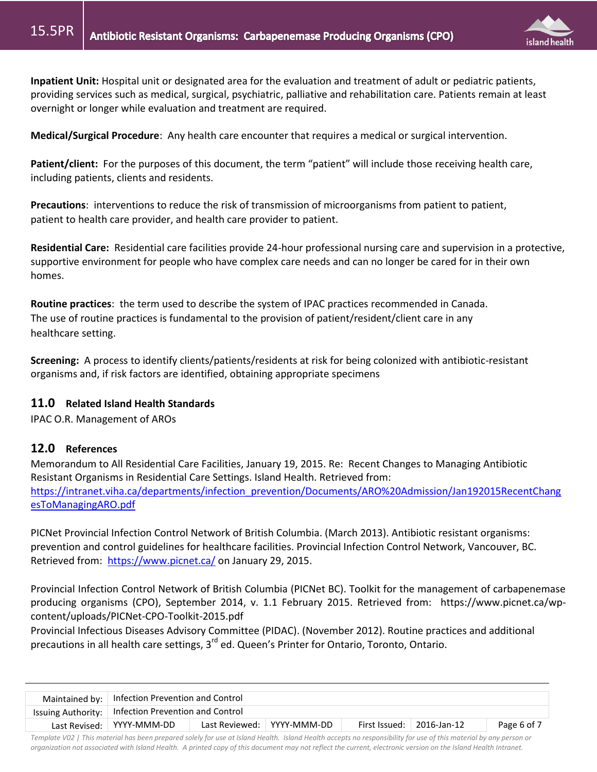

**Inpatient Unit:** Hospital unit or designated area for the evaluation and treatment of adult or pediatric patients, providing services such as medical, surgical, psychiatric, palliative and rehabilitation care. Patients remain at least overnight or longer while evaluation and treatment are required.

**Medical/Surgical Procedure**: Any health care encounter that requires a medical or surgical intervention.

**Patient/client:** For the purposes of this document, the term "patient" will include those receiving health care, including patients, clients and residents.

**Precautions**: interventions to reduce the risk of transmission of microorganisms from patient to patient, patient to health care provider, and health care provider to patient.

**Residential Care:** Residential care facilities provide 24-hour professional nursing care and supervision in a protective, supportive environment for people who have complex care needs and can no longer be cared for in their own homes.

**Routine practices**: the term used to describe the system of IPAC practices recommended in Canada. The use of routine practices is fundamental to the provision of patient/resident/client care in any healthcare setting.

**Screening:** A process to identify clients/patients/residents at risk for being colonized with antibiotic-resistant organisms and, if risk factors are identified, obtaining appropriate specimens

## **11.0 Related Island Health Standards**

IPAC O.R. Management of AROs

## **12.0 References**

Memorandum to All Residential Care Facilities, January 19, 2015. Re: Recent Changes to Managing Antibiotic Resistant Organisms in Residential Care Settings. Island Health. Retrieved from: [https://intranet.viha.ca/departments/infection\\_prevention/Documents/ARO%20Admission/Jan192015RecentChang](https://intranet.viha.ca/departments/infection_prevention/Documents/ARO%20Admission/Jan192015RecentChangesToManagingARO.pdf) [esToManagingARO.pdf](https://intranet.viha.ca/departments/infection_prevention/Documents/ARO%20Admission/Jan192015RecentChangesToManagingARO.pdf)

PICNet Provincial Infection Control Network of British Columbia. (March 2013). Antibiotic resistant organisms: prevention and control guidelines for healthcare facilities. Provincial Infection Control Network, Vancouver, BC. Retrieved from: <https://www.picnet.ca/> on January 29, 2015.

Provincial Infection Control Network of British Columbia (PICNet BC). Toolkit for the management of carbapenemase producing organisms (CPO), September 2014, v. 1.1 February 2015. Retrieved from: https://www.picnet.ca/wpcontent/uploads/PICNet-CPO-Toolkit-2015.pdf

Provincial Infectious Diseases Advisory Committee (PIDAC). (November 2012). Routine practices and additional precautions in all health care settings, 3<sup>rd</sup> ed. Queen's Printer for Ontario, Toronto, Ontario.

| Maintained by:   Infection Prevention and Control                                                              |  |  |  |  |  |  |
|----------------------------------------------------------------------------------------------------------------|--|--|--|--|--|--|
| Issuing Authority:   Infection Prevention and Control                                                          |  |  |  |  |  |  |
| Last Reviewed: YYYY-MMM-DD<br>Last Revised: YYYY-MMM-DD<br>First Issued:<br>$\vert$ 2016-Jan-12<br>Page 6 of 7 |  |  |  |  |  |  |